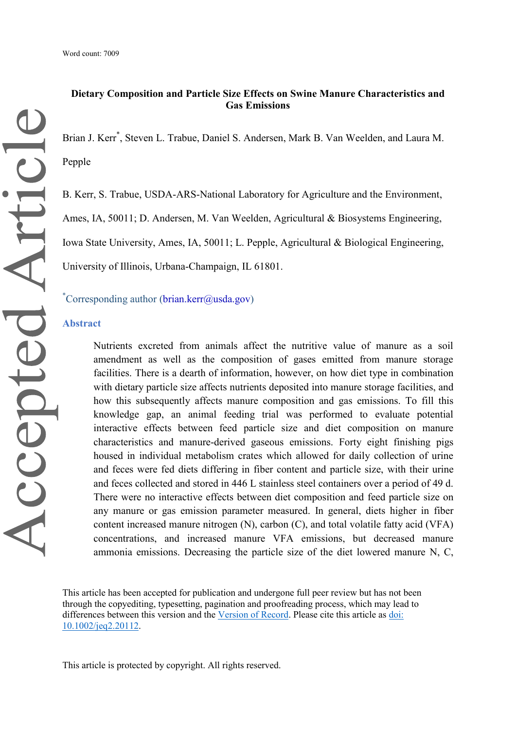Brian J. Kerr<sup>\*</sup>, Steven L. Trabue, Daniel S. Andersen, Mark B. Van Weelden, and Laura M. Pepple

B. Kerr, S. Trabue, USDA-ARS-National Laboratory for Agriculture and the Environment, Ames, IA, 50011; D. Andersen, M. Van Weelden, Agricultural & Biosystems Engineering, Iowa State University, Ames, IA, 50011; L. Pepple, Agricultural & Biological Engineering, University of Illinois, Urbana-Champaign, IL 61801.

\*Corresponding author (brian.kerr@usda.gov)

#### **Abstract**

Nutrients excreted from animals affect the nutritive value of manure as a soil amendment as well as the composition of gases emitted from manure storage facilities. There is a dearth of information, however, on how diet type in combination with dietary particle size affects nutrients deposited into manure storage facilities, and how this subsequently affects manure composition and gas emissions. To fill this knowledge gap, an animal feeding trial was performed to evaluate potential interactive effects between feed particle size and diet composition on manure characteristics and manure-derived gaseous emissions. Forty eight finishing pigs housed in individual metabolism crates which allowed for daily collection of urine and feces were fed diets differing in fiber content and particle size, with their urine and feces collected and stored in 446 L stainless steel containers over a period of 49 d. There were no interactive effects between diet composition and feed particle size on any manure or gas emission parameter measured. In general, diets higher in fiber content increased manure nitrogen (N), carbon (C), and total volatile fatty acid (VFA) concentrations, and increased manure VFA emissions, but decreased manure ammonia emissions. Decreasing the particle size of the diet lowered manure N, C,

This article has been accepted for publication and undergone full peer review but has not been through the copyediting, typesetting, pagination and proofreading process, which may lead to differences between this version and the [Version of Record.](https://doi.org/10.1002/jeq2.20112) Please cite this article as [doi:](https://doi.org/10.1002/jeq2.20112)  [10.1002/jeq2.20112.](https://doi.org/10.1002/jeq2.20112)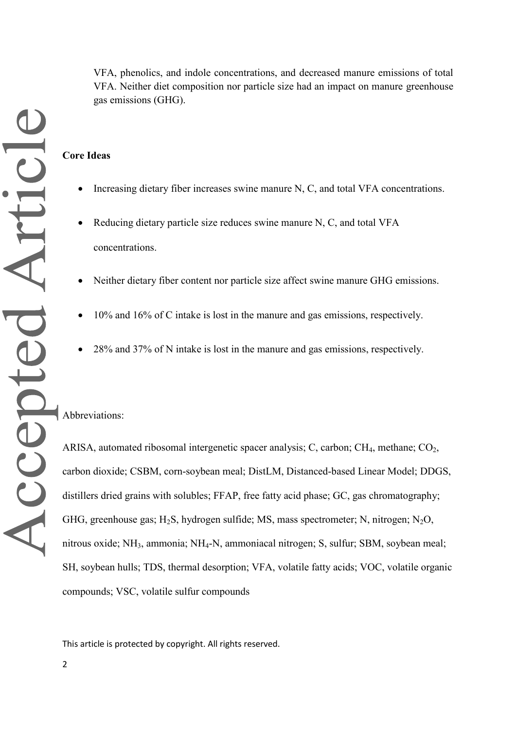VFA, phenolics, and indole concentrations, and decreased manure emissions of total VFA. Neither diet composition nor particle size had an impact on manure greenhouse gas emissions (GHG).

### **Core Ideas**

- Increasing dietary fiber increases swine manure N, C, and total VFA concentrations.
- Reducing dietary particle size reduces swine manure N, C, and total VFA concentrations.
- Neither dietary fiber content nor particle size affect swine manure GHG emissions.
- 10% and 16% of C intake is lost in the manure and gas emissions, respectively.
- 28% and 37% of N intake is lost in the manure and gas emissions, respectively.

### Abbreviations:

ARISA, automated ribosomal intergenetic spacer analysis; C, carbon;  $CH_4$ , methane;  $CO_2$ , carbon dioxide; CSBM, corn-soybean meal; DistLM, Distanced-based Linear Model; DDGS, distillers dried grains with solubles; FFAP, free fatty acid phase; GC, gas chromatography; GHG, greenhouse gas;  $H_2S$ , hydrogen sulfide; MS, mass spectrometer; N, nitrogen; N<sub>2</sub>O, nitrous oxide; NH<sub>3</sub>, ammonia; NH<sub>4</sub>-N, ammoniacal nitrogen; S, sulfur; SBM, soybean meal; SH, soybean hulls; TDS, thermal desorption; VFA, volatile fatty acids; VOC, volatile organic compounds; VSC, volatile sulfur compounds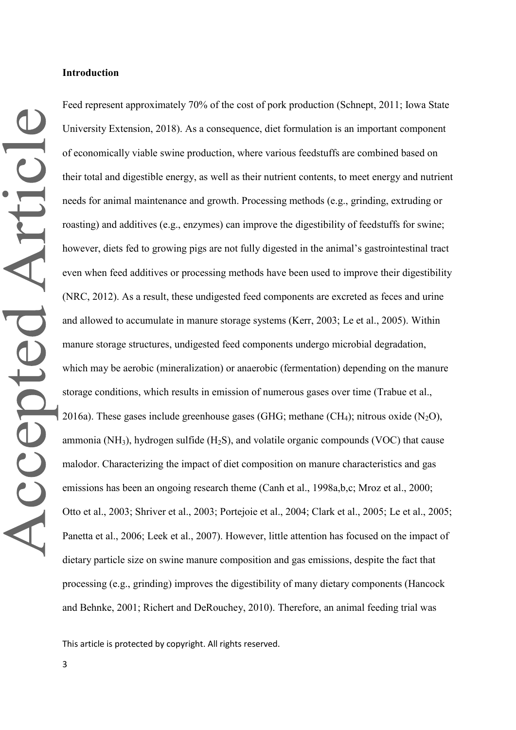Feed represent approximately 70% of the cost of pork production (Schnept, 2011; Iowa State Accepted Article University Extension, 2018). As a consequence, diet formulation is an important component of economically viable swine production, where various feedstuffs are combined based on their total and digestible energy, as well as their nutrient contents, to meet energy and nutrient needs for animal maintenance and growth. Processing methods (e.g., grinding, extruding or roasting) and additives (e.g., enzymes) can improve the digestibility of feedstuffs for swine; however, diets fed to growing pigs are not fully digested in the animal's gastrointestinal tract even when feed additives or processing methods have been used to improve their digestibility (NRC, 2012). As a result, these undigested feed components are excreted as feces and urine and allowed to accumulate in manure storage systems (Kerr, 2003; Le et al., 2005). Within manure storage structures, undigested feed components undergo microbial degradation, which may be aerobic (mineralization) or anaerobic (fermentation) depending on the manure storage conditions, which results in emission of numerous gases over time (Trabue et al., 2016a). These gases include greenhouse gases (GHG; methane (CH<sub>4</sub>); nitrous oxide (N<sub>2</sub>O), ammonia (NH<sub>3</sub>), hydrogen sulfide  $(H_2S)$ , and volatile organic compounds (VOC) that cause malodor. Characterizing the impact of diet composition on manure characteristics and gas emissions has been an ongoing research theme (Canh et al., 1998a,b,c; Mroz et al., 2000; Otto et al., 2003; Shriver et al., 2003; Portejoie et al., 2004; Clark et al., 2005; Le et al., 2005; Panetta et al., 2006; Leek et al., 2007). However, little attention has focused on the impact of dietary particle size on swine manure composition and gas emissions, despite the fact that processing (e.g., grinding) improves the digestibility of many dietary components (Hancock

This article is protected by copyright. All rights reserved.

and Behnke, 2001; Richert and DeRouchey, 2010). Therefore, an animal feeding trial was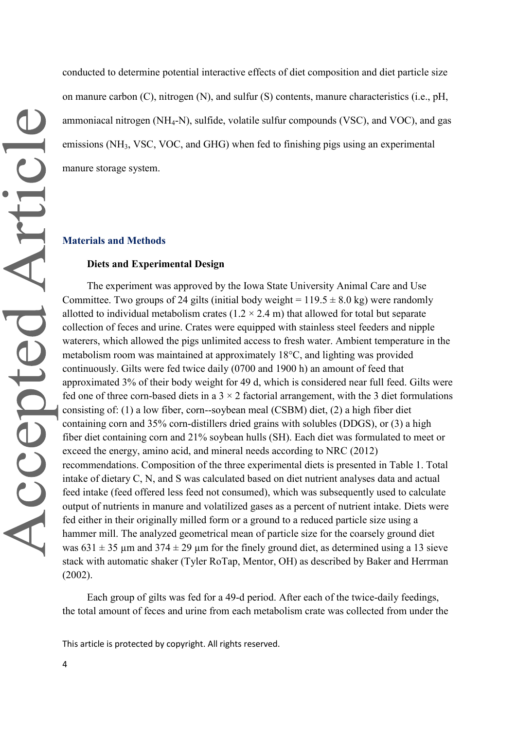conducted to determine potential interactive effects of diet composition and diet particle size on manure carbon (C), nitrogen (N), and sulfur (S) contents, manure characteristics (i.e., pH, ammoniacal nitrogen (NH4-N), sulfide, volatile sulfur compounds (VSC), and VOC), and gas emissions (NH3, VSC, VOC, and GHG) when fed to finishing pigs using an experimental manure storage system.

#### **Materials and Methods**

#### **Diets and Experimental Design**

The experiment was approved by the Iowa State University Animal Care and Use Committee. Two groups of 24 gilts (initial body weight =  $119.5 \pm 8.0$  kg) were randomly allotted to individual metabolism crates  $(1.2 \times 2.4 \text{ m})$  that allowed for total but separate collection of feces and urine. Crates were equipped with stainless steel feeders and nipple waterers, which allowed the pigs unlimited access to fresh water. Ambient temperature in the metabolism room was maintained at approximately 18°C, and lighting was provided continuously. Gilts were fed twice daily (0700 and 1900 h) an amount of feed that approximated 3% of their body weight for 49 d, which is considered near full feed. Gilts were fed one of three corn-based diets in a  $3 \times 2$  factorial arrangement, with the 3 diet formulations consisting of: (1) a low fiber, corn--soybean meal (CSBM) diet, (2) a high fiber diet containing corn and 35% corn-distillers dried grains with solubles (DDGS), or (3) a high fiber diet containing corn and 21% soybean hulls (SH). Each diet was formulated to meet or exceed the energy, amino acid, and mineral needs according to NRC (2012) recommendations. Composition of the three experimental diets is presented in Table 1. Total intake of dietary C, N, and S was calculated based on diet nutrient analyses data and actual feed intake (feed offered less feed not consumed), which was subsequently used to calculate output of nutrients in manure and volatilized gases as a percent of nutrient intake. Diets were fed either in their originally milled form or a ground to a reduced particle size using a hammer mill. The analyzed geometrical mean of particle size for the coarsely ground diet was  $631 \pm 35$  µm and  $374 \pm 29$  µm for the finely ground diet, as determined using a 13 sieve stack with automatic shaker (Tyler RoTap, Mentor, OH) as described by Baker and Herrman (2002).

Each group of gilts was fed for a 49-d period. After each of the twice-daily feedings, the total amount of feces and urine from each metabolism crate was collected from under the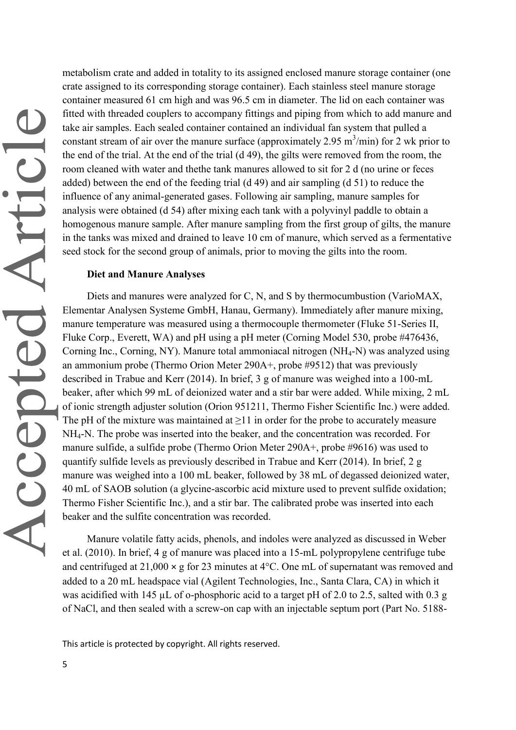metabolism crate and added in totality to its assigned enclosed manure storage container (one crate assigned to its corresponding storage container). Each stainless steel manure storage container measured 61 cm high and was 96.5 cm in diameter. The lid on each container was fitted with threaded couplers to accompany fittings and piping from which to add manure and take air samples. Each sealed container contained an individual fan system that pulled a constant stream of air over the manure surface (approximately 2.95 m<sup>3</sup>/min) for 2 wk prior to the end of the trial. At the end of the trial (d 49), the gilts were removed from the room, the room cleaned with water and thethe tank manures allowed to sit for 2 d (no urine or feces added) between the end of the feeding trial (d 49) and air sampling (d 51) to reduce the influence of any animal-generated gases. Following air sampling, manure samples for analysis were obtained (d 54) after mixing each tank with a polyvinyl paddle to obtain a homogenous manure sample. After manure sampling from the first group of gilts, the manure in the tanks was mixed and drained to leave 10 cm of manure, which served as a fermentative seed stock for the second group of animals, prior to moving the gilts into the room.

#### **Diet and Manure Analyses**

Diets and manures were analyzed for C, N, and S by thermocumbustion (VarioMAX, Elementar Analysen Systeme GmbH, Hanau, Germany). Immediately after manure mixing, manure temperature was measured using a thermocouple thermometer (Fluke 51-Series II, Fluke Corp., Everett, WA) and pH using a pH meter (Corning Model 530, probe #476436, Corning Inc., Corning, NY). Manure total ammoniacal nitrogen  $(NH_4-N)$  was analyzed using an ammonium probe (Thermo Orion Meter 290A+, probe #9512) that was previously described in Trabue and Kerr (2014). In brief, 3 g of manure was weighed into a 100-mL beaker, after which 99 mL of deionized water and a stir bar were added. While mixing, 2 mL of ionic strength adjuster solution (Orion 951211, Thermo Fisher Scientific Inc.) were added. The pH of the mixture was maintained at  $\geq$ 11 in order for the probe to accurately measure NH4-N. The probe was inserted into the beaker, and the concentration was recorded. For manure sulfide, a sulfide probe (Thermo Orion Meter 290A+, probe #9616) was used to quantify sulfide levels as previously described in Trabue and Kerr (2014). In brief, 2 g manure was weighed into a 100 mL beaker, followed by 38 mL of degassed deionized water, 40 mL of SAOB solution (a glycine-ascorbic acid mixture used to prevent sulfide oxidation; Thermo Fisher Scientific Inc.), and a stir bar. The calibrated probe was inserted into each beaker and the sulfite concentration was recorded.

Manure volatile fatty acids, phenols, and indoles were analyzed as discussed in Weber et al. (2010). In brief, 4 g of manure was placed into a 15-mL polypropylene centrifuge tube and centrifuged at 21,000 × g for 23 minutes at 4°C. One mL of supernatant was removed and added to a 20 mL headspace vial (Agilent Technologies, Inc., Santa Clara, CA) in which it was acidified with 145 µL of o-phosphoric acid to a target pH of 2.0 to 2.5, salted with 0.3 g of NaCl, and then sealed with a screw-on cap with an injectable septum port (Part No. 5188-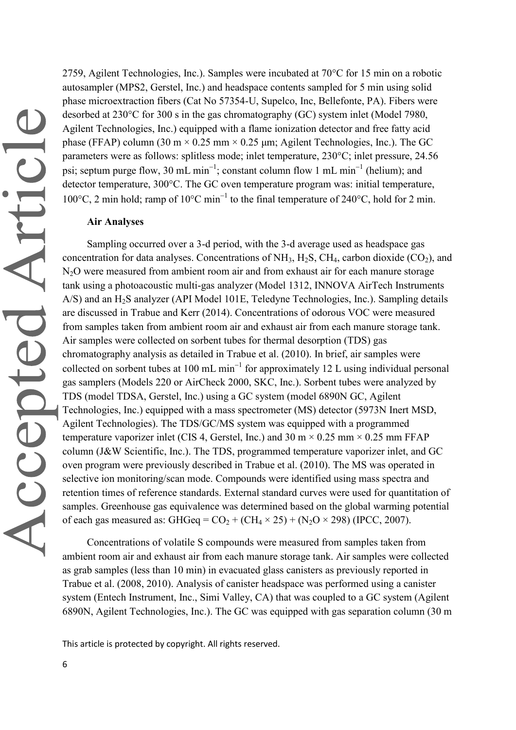2759, Agilent Technologies, Inc.). Samples were incubated at  $70^{\circ}$ C for 15 min on a robotic autosampler (MPS2, Gerstel, Inc.) and headspace contents sampled for 5 min using solid phase microextraction fibers (Cat No 57354-U, Supelco, Inc, Bellefonte, PA). Fibers were desorbed at 230°C for 300 s in the gas chromatography (GC) system inlet (Model 7980, Agilent Technologies, Inc.) equipped with a flame ionization detector and free fatty acid phase (FFAP) column (30 m  $\times$  0.25 mm  $\times$  0.25 µm; Agilent Technologies, Inc.). The GC parameters were as follows: splitless mode; inlet temperature, 230°C; inlet pressure, 24.56 psi; septum purge flow, 30 mL min<sup>-1</sup>; constant column flow 1 mL min<sup>-1</sup> (helium); and detector temperature, 300°C. The GC oven temperature program was: initial temperature, 100°C, 2 min hold; ramp of 10°C min<sup>-1</sup> to the final temperature of 240°C, hold for 2 min.

#### **Air Analyses**

Sampling occurred over a 3-d period, with the 3-d average used as headspace gas concentration for data analyses. Concentrations of  $NH_3$ ,  $H_2S$ ,  $CH_4$ , carbon dioxide (CO<sub>2</sub>), and N<sub>2</sub>O were measured from ambient room air and from exhaust air for each manure storage tank using a photoacoustic multi-gas analyzer (Model 1312, INNOVA AirTech Instruments A/S) and an H<sub>2</sub>S analyzer (API Model 101E, Teledyne Technologies, Inc.). Sampling details are discussed in Trabue and Kerr (2014). Concentrations of odorous VOC were measured from samples taken from ambient room air and exhaust air from each manure storage tank. Air samples were collected on sorbent tubes for thermal desorption (TDS) gas chromatography analysis as detailed in Trabue et al. (2010). In brief, air samples were collected on sorbent tubes at 100 mL  $min^{-1}$  for approximately 12 L using individual personal gas samplers (Models 220 or AirCheck 2000, SKC, Inc.). Sorbent tubes were analyzed by TDS (model TDSA, Gerstel, Inc.) using a GC system (model 6890N GC, Agilent Technologies, Inc.) equipped with a mass spectrometer (MS) detector (5973N Inert MSD, Agilent Technologies). The TDS/GC/MS system was equipped with a programmed temperature vaporizer inlet (CIS 4, Gerstel, Inc.) and 30 m  $\times$  0.25 mm  $\times$  0.25 mm FFAP column (J&W Scientific, Inc.). The TDS, programmed temperature vaporizer inlet, and GC oven program were previously described in Trabue et al. (2010). The MS was operated in selective ion monitoring/scan mode. Compounds were identified using mass spectra and retention times of reference standards. External standard curves were used for quantitation of samples. Greenhouse gas equivalence was determined based on the global warming potential of each gas measured as: GHGeq =  $CO<sub>2</sub> + (CH<sub>4</sub> \times 25) + (N<sub>2</sub>O \times 298)$  (IPCC, 2007).

Concentrations of volatile S compounds were measured from samples taken from ambient room air and exhaust air from each manure storage tank. Air samples were collected as grab samples (less than 10 min) in evacuated glass canisters as previously reported in Trabue et al. (2008, 2010). Analysis of canister headspace was performed using a canister system (Entech Instrument, Inc., Simi Valley, CA) that was coupled to a GC system (Agilent 6890N, Agilent Technologies, Inc.). The GC was equipped with gas separation column (30 m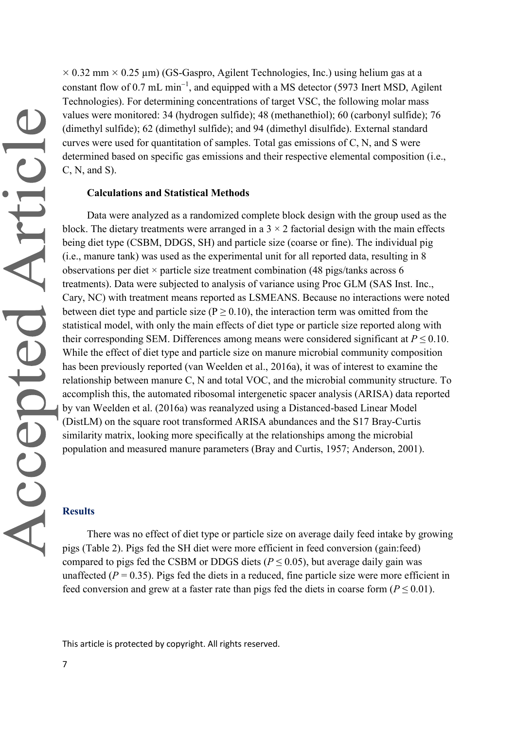$\times$  0.32 mm  $\times$  0.25 µm) (GS-Gaspro, Agilent Technologies, Inc.) using helium gas at a constant flow of 0.7 mL  $min^{-1}$ , and equipped with a MS detector (5973 Inert MSD, Agilent Technologies). For determining concentrations of target VSC, the following molar mass values were monitored: 34 (hydrogen sulfide); 48 (methanethiol); 60 (carbonyl sulfide); 76 (dimethyl sulfide); 62 (dimethyl sulfide); and 94 (dimethyl disulfide). External standard curves were used for quantitation of samples. Total gas emissions of C, N, and S were determined based on specific gas emissions and their respective elemental composition (i.e., C, N, and S).

#### **Calculations and Statistical Methods**

Data were analyzed as a randomized complete block design with the group used as the block. The dietary treatments were arranged in a  $3 \times 2$  factorial design with the main effects being diet type (CSBM, DDGS, SH) and particle size (coarse or fine). The individual pig (i.e., manure tank) was used as the experimental unit for all reported data, resulting in 8 observations per diet  $\times$  particle size treatment combination (48 pigs/tanks across 6 treatments). Data were subjected to analysis of variance using Proc GLM (SAS Inst. Inc., Cary, NC) with treatment means reported as LSMEANS. Because no interactions were noted between diet type and particle size ( $P \ge 0.10$ ), the interaction term was omitted from the statistical model, with only the main effects of diet type or particle size reported along with their corresponding SEM. Differences among means were considered significant at  $P \le 0.10$ . While the effect of diet type and particle size on manure microbial community composition has been previously reported (van Weelden et al., 2016a), it was of interest to examine the relationship between manure C, N and total VOC, and the microbial community structure. To accomplish this, the automated ribosomal intergenetic spacer analysis (ARISA) data reported by van Weelden et al. (2016a) was reanalyzed using a Distanced-based Linear Model (DistLM) on the square root transformed ARISA abundances and the S17 Bray-Curtis similarity matrix, looking more specifically at the relationships among the microbial population and measured manure parameters (Bray and Curtis, 1957; Anderson, 2001).

#### **Results**

There was no effect of diet type or particle size on average daily feed intake by growing pigs (Table 2). Pigs fed the SH diet were more efficient in feed conversion (gain:feed) compared to pigs fed the CSBM or DDGS diets ( $P \le 0.05$ ), but average daily gain was unaffected  $(P = 0.35)$ . Pigs fed the diets in a reduced, fine particle size were more efficient in feed conversion and grew at a faster rate than pigs fed the diets in coarse form ( $P \le 0.01$ ).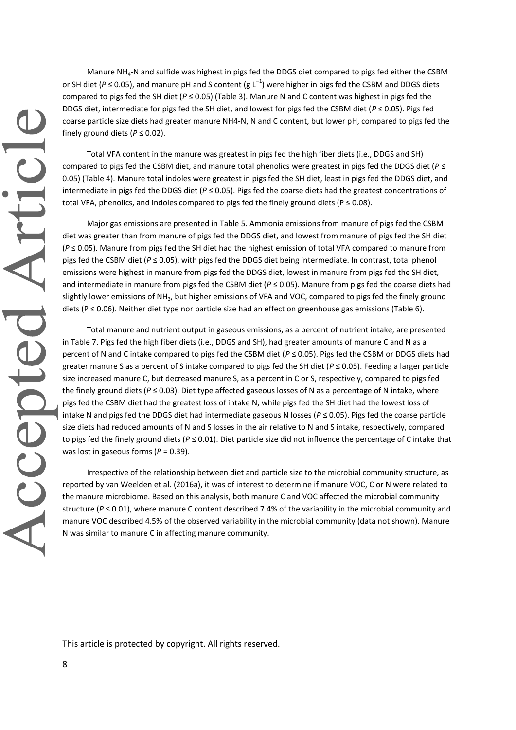Manure NH4-N and sulfide was highest in pigs fed the DDGS diet compared to pigs fed either the CSBM or SH diet ( $P \le 0.05$ ), and manure pH and S content (g L<sup>-1</sup>) were higher in pigs fed the CSBM and DDGS diets compared to pigs fed the SH diet (*P* ≤ 0.05) (Table 3). Manure N and C content was highest in pigs fed the DDGS diet, intermediate for pigs fed the SH diet, and lowest for pigs fed the CSBM diet (*P* ≤ 0.05). Pigs fed coarse particle size diets had greater manure NH4-N, N and C content, but lower pH, compared to pigs fed the finely ground diets ( $P \le 0.02$ ).

Total VFA content in the manure was greatest in pigs fed the high fiber diets (i.e., DDGS and SH) compared to pigs fed the CSBM diet, and manure total phenolics were greatest in pigs fed the DDGS diet (*P* ≤ 0.05) (Table 4). Manure total indoles were greatest in pigs fed the SH diet, least in pigs fed the DDGS diet, and intermediate in pigs fed the DDGS diet (*P* ≤ 0.05). Pigs fed the coarse diets had the greatest concentrations of total VFA, phenolics, and indoles compared to pigs fed the finely ground diets (P  $\leq$  0.08).

Major gas emissions are presented in Table 5. Ammonia emissions from manure of pigs fed the CSBM diet was greater than from manure of pigs fed the DDGS diet, and lowest from manure of pigs fed the SH diet (*P* ≤ 0.05). Manure from pigs fed the SH diet had the highest emission of total VFA compared to manure from pigs fed the CSBM diet (*P* ≤ 0.05), with pigs fed the DDGS diet being intermediate. In contrast, total phenol emissions were highest in manure from pigs fed the DDGS diet, lowest in manure from pigs fed the SH diet, and intermediate in manure from pigs fed the CSBM diet (*P* ≤ 0.05). Manure from pigs fed the coarse diets had slightly lower emissions of NH<sub>3</sub>, but higher emissions of VFA and VOC, compared to pigs fed the finely ground diets (P ≤ 0.06). Neither diet type nor particle size had an effect on greenhouse gas emissions (Table 6).

Total manure and nutrient output in gaseous emissions, as a percent of nutrient intake, are presented in Table 7. Pigs fed the high fiber diets (i.e., DDGS and SH), had greater amounts of manure C and N as a percent of N and C intake compared to pigs fed the CSBM diet (*P* ≤ 0.05). Pigs fed the CSBM or DDGS diets had greater manure S as a percent of S intake compared to pigs fed the SH diet (*P* ≤ 0.05). Feeding a larger particle size increased manure C, but decreased manure S, as a percent in C or S, respectively, compared to pigs fed the finely ground diets (*P* ≤ 0.03). Diet type affected gaseous losses of N as a percentage of N intake, where pigs fed the CSBM diet had the greatest loss of intake N, while pigs fed the SH diet had the lowest loss of intake N and pigs fed the DDGS diet had intermediate gaseous N losses (*P* ≤ 0.05). Pigs fed the coarse particle size diets had reduced amounts of N and S losses in the air relative to N and S intake, respectively, compared to pigs fed the finely ground diets (*P* ≤ 0.01). Diet particle size did not influence the percentage of C intake that was lost in gaseous forms (*P* = 0.39).

Irrespective of the relationship between diet and particle size to the microbial community structure, as reported by van Weelden et al. (2016a), it was of interest to determine if manure VOC, C or N were related to the manure microbiome. Based on this analysis, both manure C and VOC affected the microbial community structure ( $P \le 0.01$ ), where manure C content described 7.4% of the variability in the microbial community and manure VOC described 4.5% of the observed variability in the microbial community (data not shown). Manure N was similar to manure C in affecting manure community.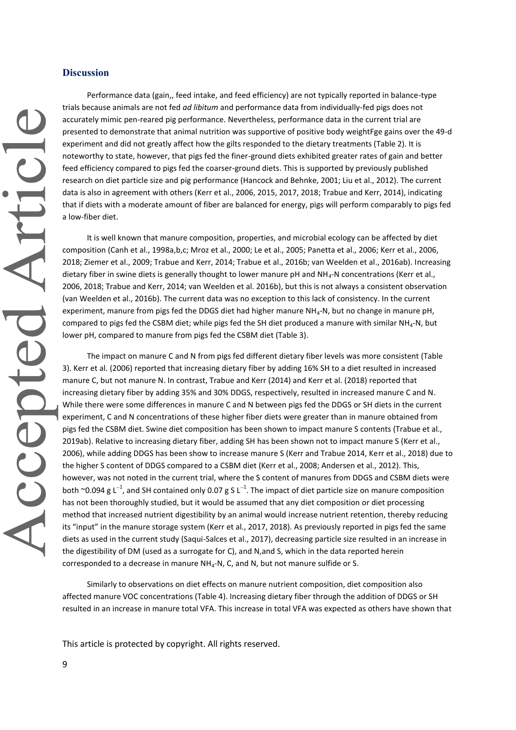#### **Discussion**

Performance data (gain,, feed intake, and feed efficiency) are not typically reported in balance-type trials because animals are not fed *ad libitum* and performance data from individually-fed pigs does not accurately mimic pen-reared pig performance. Nevertheless, performance data in the current trial are presented to demonstrate that animal nutrition was supportive of positive body weightFge gains over the 49-d experiment and did not greatly affect how the gilts responded to the dietary treatments (Table 2). It is noteworthy to state, however, that pigs fed the finer-ground diets exhibited greater rates of gain and better feed efficiency compared to pigs fed the coarser-ground diets. This is supported by previously published research on diet particle size and pig performance (Hancock and Behnke, 2001; Liu et al., 2012). The current data is also in agreement with others (Kerr et al., 2006, 2015, 2017, 2018; Trabue and Kerr, 2014), indicating that if diets with a moderate amount of fiber are balanced for energy, pigs will perform comparably to pigs fed a low-fiber diet.

It is well known that manure composition, properties, and microbial ecology can be affected by diet composition (Canh et al., 1998a,b,c; Mroz et al., 2000; Le et al., 2005; Panetta et al., 2006; Kerr et al., 2006, 2018; Ziemer et al., 2009; Trabue and Kerr, 2014; Trabue et al., 2016b; van Weelden et al., 2016ab). Increasing dietary fiber in swine diets is generally thought to lower manure pH and NH<sub>4</sub>-N concentrations (Kerr et al., 2006, 2018; Trabue and Kerr, 2014; van Weelden et al. 2016b), but this is not always a consistent observation (van Weelden et al., 2016b). The current data was no exception to this lack of consistency. In the current experiment, manure from pigs fed the DDGS diet had higher manure  $NH<sub>4</sub>-N$ , but no change in manure pH, compared to pigs fed the CSBM diet; while pigs fed the SH diet produced a manure with similar NH4-N, but lower pH, compared to manure from pigs fed the CSBM diet (Table 3).

The impact on manure C and N from pigs fed different dietary fiber levels was more consistent (Table 3). Kerr et al. (2006) reported that increasing dietary fiber by adding 16% SH to a diet resulted in increased manure C, but not manure N. In contrast, Trabue and Kerr (2014) and Kerr et al. (2018) reported that increasing dietary fiber by adding 35% and 30% DDGS, respectively, resulted in increased manure C and N. While there were some differences in manure C and N between pigs fed the DDGS or SH diets in the current experiment, C and N concentrations of these higher fiber diets were greater than in manure obtained from pigs fed the CSBM diet. Swine diet composition has been shown to impact manure S contents (Trabue et al., 2019ab). Relative to increasing dietary fiber, adding SH has been shown not to impact manure S (Kerr et al., 2006), while adding DDGS has been show to increase manure S (Kerr and Trabue 2014, Kerr et al., 2018) due to the higher S content of DDGS compared to a CSBM diet (Kerr et al., 2008; Andersen et al., 2012). This, however, was not noted in the current trial, where the S content of manures from DDGS and CSBM diets were both ~0.094 g L<sup>-1</sup>, and SH contained only 0.07 g S L<sup>-1</sup>. The impact of diet particle size on manure composition has not been thoroughly studied, but it would be assumed that any diet composition or diet processing method that increased nutrient digestibility by an animal would increase nutrient retention, thereby reducing its "input" in the manure storage system (Kerr et al., 2017, 2018). As previously reported in pigs fed the same diets as used in the current study (Saqui-Salces et al., 2017), decreasing particle size resulted in an increase in the digestibility of DM (used as a surrogate for C), and N,and S, which in the data reported herein corresponded to a decrease in manure NH<sub>4</sub>-N, C, and N, but not manure sulfide or S.

Similarly to observations on diet effects on manure nutrient composition, diet composition also affected manure VOC concentrations (Table 4). Increasing dietary fiber through the addition of DDGS or SH resulted in an increase in manure total VFA. This increase in total VFA was expected as others have shown that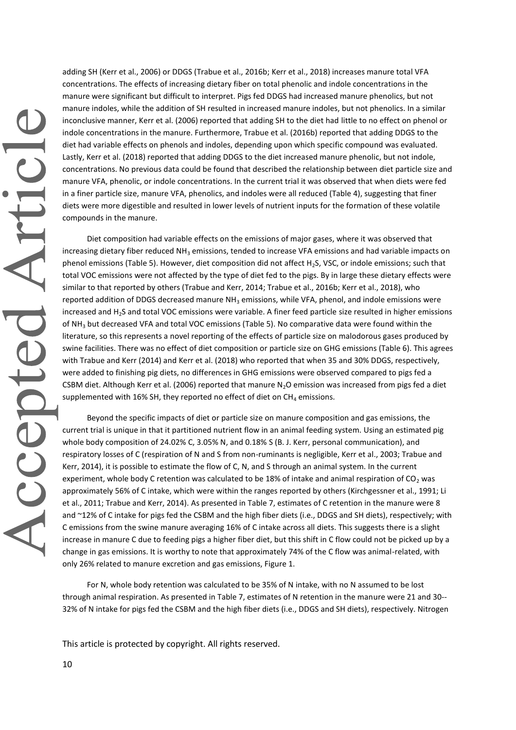adding SH (Kerr et al., 2006) or DDGS (Trabue et al., 2016b; Kerr et al., 2018) increases manure total VFA concentrations. The effects of increasing dietary fiber on total phenolic and indole concentrations in the manure were significant but difficult to interpret. Pigs fed DDGS had increased manure phenolics, but not manure indoles, while the addition of SH resulted in increased manure indoles, but not phenolics. In a similar inconclusive manner, Kerr et al. (2006) reported that adding SH to the diet had little to no effect on phenol or indole concentrations in the manure. Furthermore, Trabue et al. (2016b) reported that adding DDGS to the diet had variable effects on phenols and indoles, depending upon which specific compound was evaluated. Lastly, Kerr et al. (2018) reported that adding DDGS to the diet increased manure phenolic, but not indole, concentrations. No previous data could be found that described the relationship between diet particle size and manure VFA, phenolic, or indole concentrations. In the current trial it was observed that when diets were fed in a finer particle size, manure VFA, phenolics, and indoles were all reduced (Table 4), suggesting that finer diets were more digestible and resulted in lower levels of nutrient inputs for the formation of these volatile compounds in the manure.

Diet composition had variable effects on the emissions of major gases, where it was observed that increasing dietary fiber reduced NH<sub>3</sub> emissions, tended to increase VFA emissions and had variable impacts on phenol emissions (Table 5). However, diet composition did not affect H2S, VSC, or indole emissions; such that total VOC emissions were not affected by the type of diet fed to the pigs. By in large these dietary effects were similar to that reported by others (Trabue and Kerr, 2014; Trabue et al., 2016b; Kerr et al., 2018), who reported addition of DDGS decreased manure NH<sub>3</sub> emissions, while VFA, phenol, and indole emissions were increased and H2S and total VOC emissions were variable. A finer feed particle size resulted in higher emissions of NH<sup>3</sup> but decreased VFA and total VOC emissions (Table 5). No comparative data were found within the literature, so this represents a novel reporting of the effects of particle size on malodorous gases produced by swine facilities. There was no effect of diet composition or particle size on GHG emissions (Table 6). This agrees with Trabue and Kerr (2014) and Kerr et al. (2018) who reported that when 35 and 30% DDGS, respectively, were added to finishing pig diets, no differences in GHG emissions were observed compared to pigs fed a CSBM diet. Although Kerr et al. (2006) reported that manure  $N_2O$  emission was increased from pigs fed a diet supplemented with 16% SH, they reported no effect of diet on  $CH<sub>4</sub>$  emissions.

Beyond the specific impacts of diet or particle size on manure composition and gas emissions, the current trial is unique in that it partitioned nutrient flow in an animal feeding system. Using an estimated pig whole body composition of 24.02% C, 3.05% N, and 0.18% S (B. J. Kerr, personal communication), and respiratory losses of C (respiration of N and S from non-ruminants is negligible, Kerr et al., 2003; Trabue and Kerr, 2014), it is possible to estimate the flow of C, N, and S through an animal system. In the current experiment, whole body C retention was calculated to be 18% of intake and animal respiration of  $CO<sub>2</sub>$  was approximately 56% of C intake, which were within the ranges reported by others (Kirchgessner et al., 1991; Li et al., 2011; Trabue and Kerr, 2014). As presented in Table 7, estimates of C retention in the manure were 8 and ~12% of C intake for pigs fed the CSBM and the high fiber diets (i.e., DDGS and SH diets), respectively; with C emissions from the swine manure averaging 16% of C intake across all diets. This suggests there is a slight increase in manure C due to feeding pigs a higher fiber diet, but this shift in C flow could not be picked up by a change in gas emissions. It is worthy to note that approximately 74% of the C flow was animal-related, with only 26% related to manure excretion and gas emissions, Figure 1.

For N, whole body retention was calculated to be 35% of N intake, with no N assumed to be lost through animal respiration. As presented in Table 7, estimates of N retention in the manure were 21 and 30-- 32% of N intake for pigs fed the CSBM and the high fiber diets (i.e., DDGS and SH diets), respectively. Nitrogen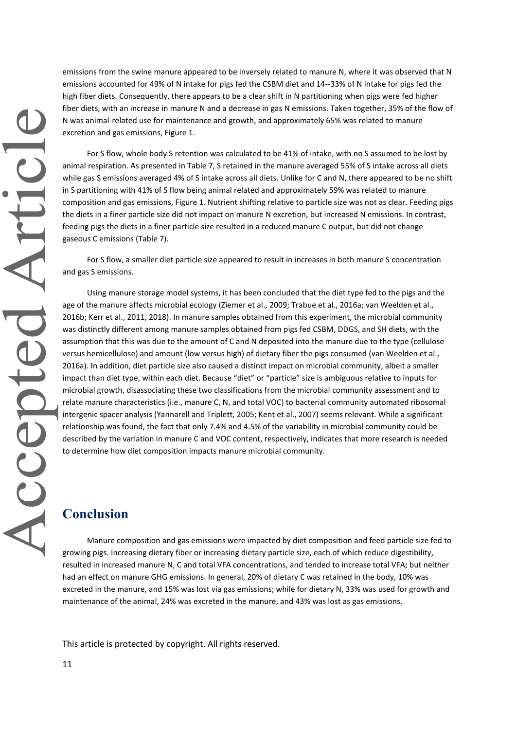emissions from the swine manure appeared to be inversely related to manure N, where it was observed that N emissions accounted for 49% of N intake for pigs fed the CSBM diet and 14--33% of N intake for pigs fed the high fiber diets. Consequently, there appears to be a clear shift in N partitioning when pigs were fed higher fiber diets, with an increase in manure N and a decrease in gas N emissions. Taken together, 35% of the flow of N was animal-related use for maintenance and growth, and approximately 65% was related to manure excretion and gas emissions, Figure 1.

For S flow, whole body S retention was calculated to be 41% of intake, with no S assumed to be lost by animal respiration. As presented in Table 7, S retained in the manure averaged 55% of S intake across all diets while gas S emissions averaged 4% of S intake across all diets. Unlike for C and N, there appeared to be no shift in S partitioning with 41% of S flow being animal related and approximately 59% was related to manure composition and gas emissions, Figure 1. Nutrient shifting relative to particle size was not as clear. Feeding pigs the diets in a finer particle size did not impact on manure N excretion, but increased N emissions. In contrast, feeding pigs the diets in a finer particle size resulted in a reduced manure C output, but did not change gaseous C emissions (Table 7).

For S flow, a smaller diet particle size appeared to result in increases in both manure S concentration and gas S emissions.

Using manure storage model systems, it has been concluded that the diet type fed to the pigs and the age of the manure affects microbial ecology (Ziemer et al., 2009; Trabue et al., 2016a; van Weelden et al., 2016b; Kerr et al., 2011, 2018). In manure samples obtained from this experiment, the microbial community was distinctly different among manure samples obtained from pigs fed CSBM, DDGS, and SH diets, with the assumption that this was due to the amount of C and N deposited into the manure due to the type (cellulose versus hemicellulose) and amount (low versus high) of dietary fiber the pigs consumed (van Weelden et al., 2016a). In addition, diet particle size also caused a distinct impact on microbial community, albeit a smaller impact than diet type, within each diet. Because "diet" or "particle" size is ambiguous relative to inputs for microbial growth, disassociating these two classifications from the microbial community assessment and to relate manure characteristics (i.e., manure C, N, and total VOC) to bacterial community automated ribosomal intergenic spacer analysis (Yannarell and Triplett, 2005; Kent et al., 2007) seems relevant. While a significant relationship was found, the fact that only 7.4% and 4.5% of the variability in microbial community could be described by the variation in manure C and VOC content, respectively, indicates that more research is needed to determine how diet composition impacts manure microbial community.

# **Conclusion**

Manure composition and gas emissions were impacted by diet composition and feed particle size fed to growing pigs. Increasing dietary fiber or increasing dietary particle size, each of which reduce digestibility, resulted in increased manure N, C and total VFA concentrations, and tended to increase total VFA; but neither had an effect on manure GHG emissions. In general, 20% of dietary C was retained in the body, 10% was excreted in the manure, and 15% was lost via gas emissions; while for dietary N, 33% was used for growth and maintenance of the animal, 24% was excreted in the manure, and 43% was lost as gas emissions.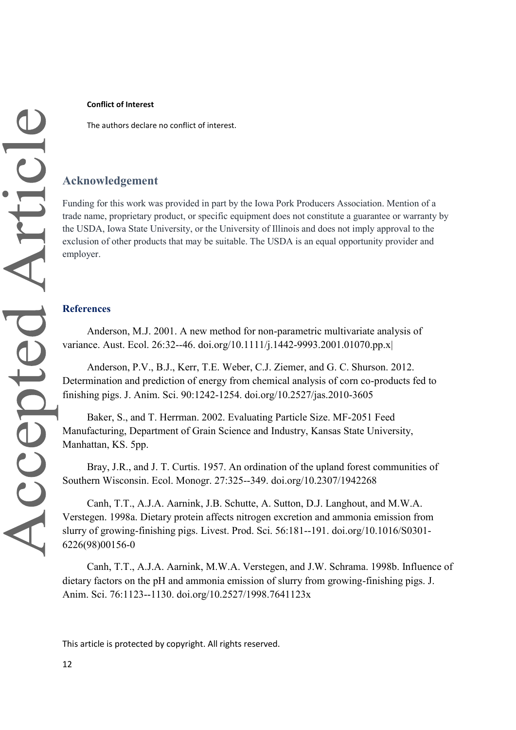The authors declare no conflict of interest.

# **Acknowledgement**

Funding for this work was provided in part by the Iowa Pork Producers Association. Mention of a trade name, proprietary product, or specific equipment does not constitute a guarantee or warranty by the USDA, Iowa State University, or the University of Illinois and does not imply approval to the exclusion of other products that may be suitable. The USDA is an equal opportunity provider and employer.

## **References**

Anderson, M.J. 2001. A new method for non-parametric multivariate analysis of variance. Aust. Ecol. 26:32--46. doi.org/10.1111/j.1442-9993.2001.01070.pp.x|

Anderson, P.V., B.J., Kerr, T.E. Weber, C.J. Ziemer, and G. C. Shurson. 2012. Determination and prediction of energy from chemical analysis of corn co-products fed to finishing pigs. J. Anim. Sci. 90:1242-1254. doi.org/10.2527/jas.2010-3605

Baker, S., and T. Herrman. 2002. Evaluating Particle Size. MF-2051 Feed Manufacturing, Department of Grain Science and Industry, Kansas State University, Manhattan, KS. 5pp.

Bray, J.R., and J. T. Curtis. 1957. An ordination of the upland forest communities of Southern Wisconsin. Ecol. Monogr. 27:325--349. doi.org/10.2307/1942268

Canh, T.T., A.J.A. Aarnink, J.B. Schutte, A. Sutton, D.J. Langhout, and M.W.A. Verstegen. 1998a. Dietary protein affects nitrogen excretion and ammonia emission from slurry of growing-finishing pigs. Livest. Prod. Sci. 56:181--191. doi.org/10.1016/S0301- 6226(98)00156-0

Canh, T.T., A.J.A. Aarnink, M.W.A. Verstegen, and J.W. Schrama. 1998b. Influence of dietary factors on the pH and ammonia emission of slurry from growing-finishing pigs. J. Anim. Sci. 76:1123--1130. doi.org/10.2527/1998.7641123x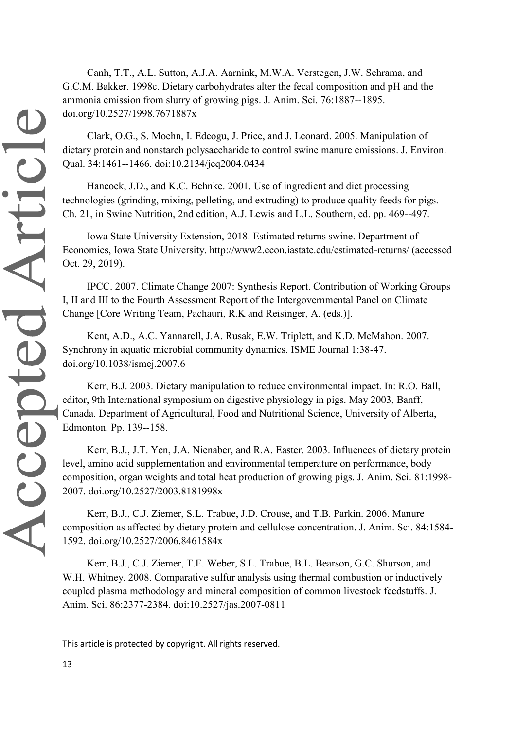Canh, T.T., A.L. Sutton, A.J.A. Aarnink, M.W.A. Verstegen, J.W. Schrama, and G.C.M. Bakker. 1998c. Dietary carbohydrates alter the fecal composition and pH and the ammonia emission from slurry of growing pigs. J. Anim. Sci. 76:1887--1895. doi.org/10.2527/1998.7671887x

Clark, O.G., S. Moehn, I. Edeogu, J. Price, and J. Leonard. 2005. Manipulation of dietary protein and nonstarch polysaccharide to control swine manure emissions. J. Environ. Qual. 34:1461--1466. doi:10.2134/jeq2004.0434

Hancock, J.D., and K.C. Behnke. 2001. Use of ingredient and diet processing technologies (grinding, mixing, pelleting, and extruding) to produce quality feeds for pigs. Ch. 21, in Swine Nutrition, 2nd edition, A.J. Lewis and L.L. Southern, ed. pp. 469--497.

Iowa State University Extension, 2018. Estimated returns swine. Department of Economics, Iowa State University. http://www2.econ.iastate.edu/estimated-returns/ (accessed Oct. 29, 2019).

IPCC. 2007. Climate Change 2007: Synthesis Report. Contribution of Working Groups I, II and III to the Fourth Assessment Report of the Intergovernmental Panel on Climate Change [Core Writing Team, Pachauri, R.K and Reisinger, A. (eds.)].

Kent, A.D., A.C. Yannarell, J.A. Rusak, E.W. Triplett, and K.D. McMahon. 2007. Synchrony in aquatic microbial community dynamics. ISME Journal 1:38-47. doi.org/10.1038/ismej.2007.6

Kerr, B.J. 2003. Dietary manipulation to reduce environmental impact. In: R.O. Ball, editor, 9th International symposium on digestive physiology in pigs. May 2003, Banff, Canada. Department of Agricultural, Food and Nutritional Science, University of Alberta, Edmonton. Pp. 139--158.

Kerr, B.J., J.T. Yen, J.A. Nienaber, and R.A. Easter. 2003. Influences of dietary protein level, amino acid supplementation and environmental temperature on performance, body composition, organ weights and total heat production of growing pigs. J. Anim. Sci. 81:1998- 2007. doi.org/10.2527/2003.8181998x

Kerr, B.J., C.J. Ziemer, S.L. Trabue, J.D. Crouse, and T.B. Parkin. 2006. Manure composition as affected by dietary protein and cellulose concentration. J. Anim. Sci. 84:1584- 1592. doi.org/10.2527/2006.8461584x

Kerr, B.J., C.J. Ziemer, T.E. Weber, S.L. Trabue, B.L. Bearson, G.C. Shurson, and W.H. Whitney. 2008. Comparative sulfur analysis using thermal combustion or inductively coupled plasma methodology and mineral composition of common livestock feedstuffs. J. Anim. Sci. 86:2377-2384. doi:10.2527/jas.2007-0811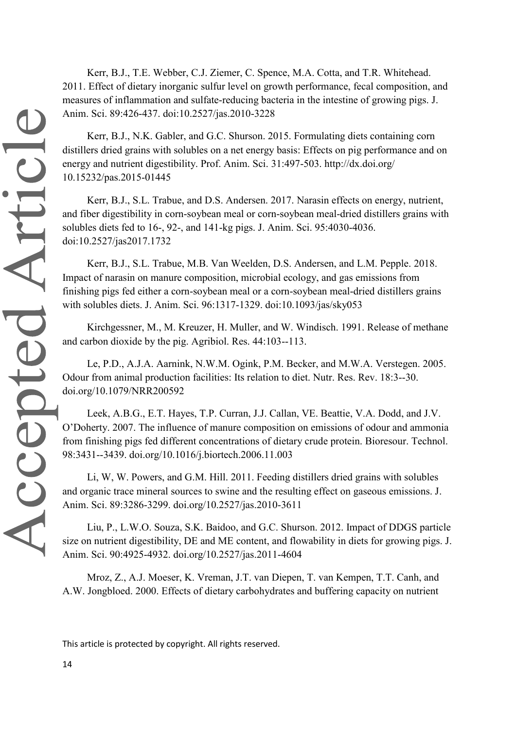Kerr, B.J., T.E. Webber, C.J. Ziemer, C. Spence, M.A. Cotta, and T.R. Whitehead. 2011. Effect of dietary inorganic sulfur level on growth performance, fecal composition, and measures of inflammation and sulfate-reducing bacteria in the intestine of growing pigs. J. Anim. Sci. 89:426-437. doi:10.2527/jas.2010-3228

Kerr, B.J., N.K. Gabler, and G.C. Shurson. 2015. Formulating diets containing corn distillers dried grains with solubles on a net energy basis: Effects on pig performance and on energy and nutrient digestibility. Prof. Anim. Sci. 31:497-503. http://dx.doi.org/ 10.15232/pas.2015-01445

Kerr, B.J., S.L. Trabue, and D.S. Andersen. 2017. Narasin effects on energy, nutrient, and fiber digestibility in corn-soybean meal or corn-soybean meal-dried distillers grains with solubles diets fed to 16-, 92-, and 141-kg pigs. J. Anim. Sci. 95:4030-4036. doi:10.2527/jas2017.1732

Kerr, B.J., S.L. Trabue, M.B. Van Weelden, D.S. Andersen, and L.M. Pepple. 2018. Impact of narasin on manure composition, microbial ecology, and gas emissions from finishing pigs fed either a corn-soybean meal or a corn-soybean meal-dried distillers grains with solubles diets. J. Anim. Sci. 96:1317-1329. doi:10.1093/jas/sky053

Kirchgessner, M., M. Kreuzer, H. Muller, and W. Windisch. 1991. Release of methane and carbon dioxide by the pig. Agribiol. Res. 44:103--113.

Le, P.D., A.J.A. Aarnink, N.W.M. Ogink, P.M. Becker, and M.W.A. Verstegen. 2005. Odour from animal production facilities: Its relation to diet. Nutr. Res. Rev. 18:3--30. doi.org/10.1079/NRR200592

Leek, A.B.G., E.T. Hayes, T.P. Curran, J.J. Callan, VE. Beattie, V.A. Dodd, and J.V. O'Doherty. 2007. The influence of manure composition on emissions of odour and ammonia from finishing pigs fed different concentrations of dietary crude protein. Bioresour. Technol. 98:3431--3439. doi.org/10.1016/j.biortech.2006.11.003

Li, W, W. Powers, and G.M. Hill. 2011. Feeding distillers dried grains with solubles and organic trace mineral sources to swine and the resulting effect on gaseous emissions. J. Anim. Sci. 89:3286-3299. doi.org/10.2527/jas.2010-3611

Liu, P., L.W.O. Souza, S.K. Baidoo, and G.C. Shurson. 2012. Impact of DDGS particle size on nutrient digestibility, DE and ME content, and flowability in diets for growing pigs. J. Anim. Sci. 90:4925-4932. doi.org/10.2527/jas.2011-4604

Mroz, Z., A.J. Moeser, K. Vreman, J.T. van Diepen, T. van Kempen, T.T. Canh, and A.W. Jongbloed. 2000. Effects of dietary carbohydrates and buffering capacity on nutrient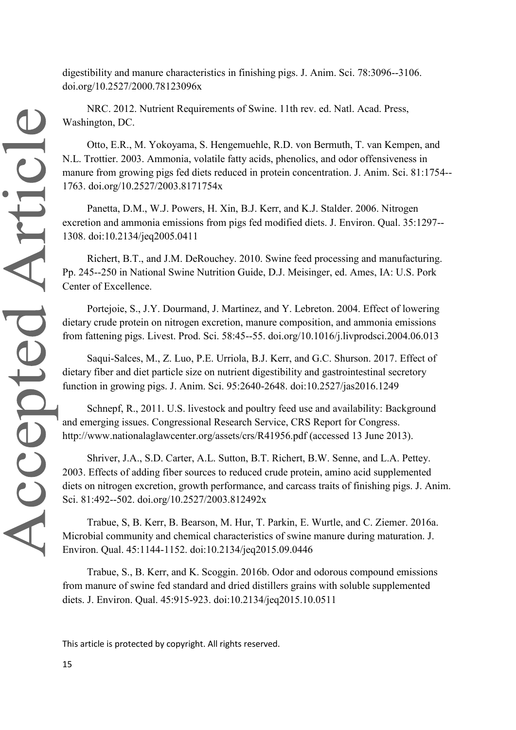digestibility and manure characteristics in finishing pigs. J. Anim. Sci. 78:3096--3106. doi.org/10.2527/2000.78123096x

NRC. 2012. Nutrient Requirements of Swine. 11th rev. ed. Natl. Acad. Press, Washington, DC.

Otto, E.R., M. Yokoyama, S. Hengemuehle, R.D. von Bermuth, T. van Kempen, and N.L. Trottier. 2003. Ammonia, volatile fatty acids, phenolics, and odor offensiveness in manure from growing pigs fed diets reduced in protein concentration. J. Anim. Sci. 81:1754-- 1763. doi.org/10.2527/2003.8171754x

Panetta, D.M., W.J. Powers, H. Xin, B.J. Kerr, and K.J. Stalder. 2006. Nitrogen excretion and ammonia emissions from pigs fed modified diets. J. Environ. Qual. 35:1297-- 1308. doi:10.2134/jeq2005.0411

Richert, B.T., and J.M. DeRouchey. 2010. Swine feed processing and manufacturing. Pp. 245--250 in National Swine Nutrition Guide, D.J. Meisinger, ed. Ames, IA: U.S. Pork Center of Excellence.

Portejoie, S., J.Y. Dourmand, J. Martinez, and Y. Lebreton. 2004. Effect of lowering dietary crude protein on nitrogen excretion, manure composition, and ammonia emissions from fattening pigs. Livest. Prod. Sci. 58:45--55. doi.org/10.1016/j.livprodsci.2004.06.013

Saqui-Salces, M., Z. Luo, P.E. Urriola, B.J. Kerr, and G.C. Shurson. 2017. Effect of dietary fiber and diet particle size on nutrient digestibility and gastrointestinal secretory function in growing pigs. J. Anim. Sci. 95:2640-2648. doi:10.2527/jas2016.1249

Schnepf, R., 2011. U.S. livestock and poultry feed use and availability: Background and emerging issues. Congressional Research Service, CRS Report for Congress. http://www.nationalaglawcenter.org/assets/crs/R41956.pdf (accessed 13 June 2013).

Shriver, J.A., S.D. Carter, A.L. Sutton, B.T. Richert, B.W. Senne, and L.A. Pettey. 2003. Effects of adding fiber sources to reduced crude protein, amino acid supplemented diets on nitrogen excretion, growth performance, and carcass traits of finishing pigs. J. Anim. Sci. 81:492--502. doi.org/10.2527/2003.812492x

Trabue, S, B. Kerr, B. Bearson, M. Hur, T. Parkin, E. Wurtle, and C. Ziemer. 2016a. Microbial community and chemical characteristics of swine manure during maturation. J. Environ. Qual. 45:1144-1152. doi:10.2134/jeq2015.09.0446

Trabue, S., B. Kerr, and K. Scoggin. 2016b. Odor and odorous compound emissions from manure of swine fed standard and dried distillers grains with soluble supplemented diets. J. Environ. Qual. 45:915-923. doi:10.2134/jeq2015.10.0511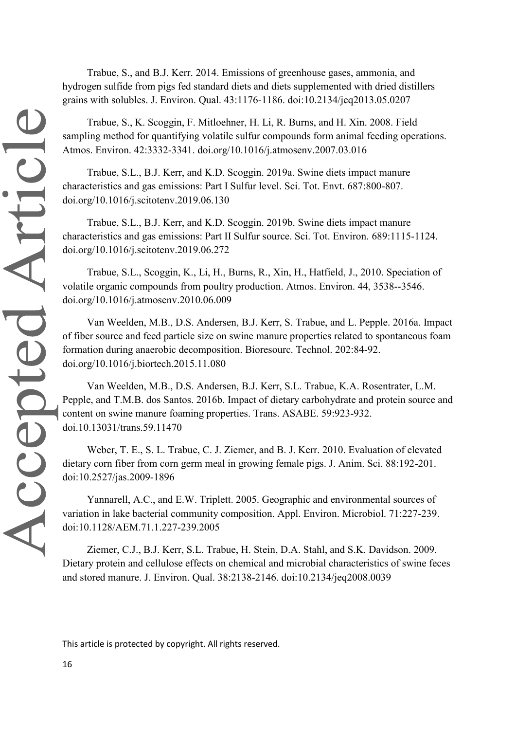Trabue, S., and B.J. Kerr. 2014. Emissions of greenhouse gases, ammonia, and hydrogen sulfide from pigs fed standard diets and diets supplemented with dried distillers grains with solubles. J. Environ. Qual. 43:1176-1186. doi:10.2134/jeq2013.05.0207

Trabue, S., K. Scoggin, F. Mitloehner, H. Li, R. Burns, and H. Xin. 2008. Field sampling method for quantifying volatile sulfur compounds form animal feeding operations. Atmos. Environ. 42:3332-3341. doi.org/10.1016/j.atmosenv.2007.03.016

Trabue, S.L., B.J. Kerr, and K.D. Scoggin. 2019a. Swine diets impact manure characteristics and gas emissions: Part I Sulfur level. Sci. Tot. Envt. 687:800-807. doi.org/10.1016/j.scitotenv.2019.06.130

Trabue, S.L., B.J. Kerr, and K.D. Scoggin. 2019b. Swine diets impact manure characteristics and gas emissions: Part II Sulfur source. Sci. Tot. Environ. 689:1115-1124. doi.org/10.1016/j.scitotenv.2019.06.272

Trabue, S.L., Scoggin, K., Li, H., Burns, R., Xin, H., Hatfield, J., 2010. Speciation of volatile organic compounds from poultry production. Atmos. Environ. 44, 3538--3546. doi.org/10.1016/j.atmosenv.2010.06.009

Van Weelden, M.B., D.S. Andersen, B.J. Kerr, S. Trabue, and L. Pepple. 2016a. Impact of fiber source and feed particle size on swine manure properties related to spontaneous foam formation during anaerobic decomposition. Bioresourc. Technol. 202:84-92. doi.org/10.1016/j.biortech.2015.11.080

Van Weelden, M.B., D.S. Andersen, B.J. Kerr, S.L. Trabue, K.A. Rosentrater, L.M. Pepple, and T.M.B. dos Santos. 2016b. Impact of dietary carbohydrate and protein source and content on swine manure foaming properties. Trans. ASABE. 59:923-932. doi.10.13031/trans.59.11470

Weber, T. E., S. L. Trabue, C. J. Ziemer, and B. J. Kerr. 2010. Evaluation of elevated dietary corn fiber from corn germ meal in growing female pigs. J. Anim. Sci. 88:192-201. doi:10.2527/jas.2009-1896

Yannarell, A.C., and E.W. Triplett. 2005. Geographic and environmental sources of variation in lake bacterial community composition. Appl. Environ. Microbiol. 71:227-239. doi:10.1128/AEM.71.1.227-239.2005

Ziemer, C.J., B.J. Kerr, S.L. Trabue, H. Stein, D.A. Stahl, and S.K. Davidson. 2009. Dietary protein and cellulose effects on chemical and microbial characteristics of swine feces and stored manure. J. Environ. Qual. 38:2138-2146. doi:10.2134/jeq2008.0039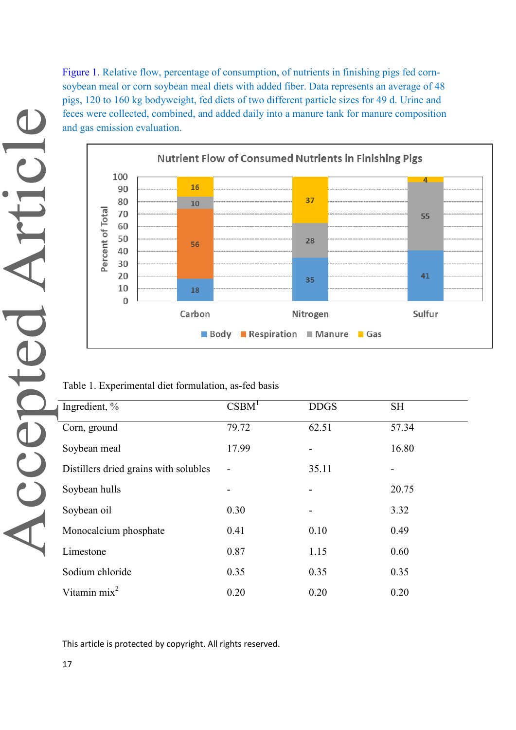Figure 1. Relative flow, percentage of consumption, of nutrients in finishing pigs fed cornsoybean meal or corn soybean meal diets with added fiber. Data represents an average of 48 pigs, 120 to 160 kg bodyweight, fed diets of two different particle sizes for 49 d. Urine and feces were collected, combined, and added daily into a manure tank for manure composition and gas emission evaluation.



Table 1. Experimental diet formulation, as-fed basis

| Ingredient, %                         | CSBM <sup>1</sup> | <b>DDGS</b>              | <b>SH</b>                |
|---------------------------------------|-------------------|--------------------------|--------------------------|
| Corn, ground                          | 79.72             | 62.51                    | 57.34                    |
| Soybean meal                          | 17.99             | -                        | 16.80                    |
| Distillers dried grains with solubles |                   | 35.11                    | $\overline{\phantom{0}}$ |
| Soybean hulls                         |                   | -                        | 20.75                    |
| Soybean oil                           | 0.30              | $\overline{\phantom{a}}$ | 3.32                     |
| Monocalcium phosphate                 | 0.41              | 0.10                     | 0.49                     |
| Limestone                             | 0.87              | 1.15                     | 0.60                     |
| Sodium chloride                       | 0.35              | 0.35                     | 0.35                     |
| Vitamin $mix^2$                       | 0.20              | 0.20                     | 0.20                     |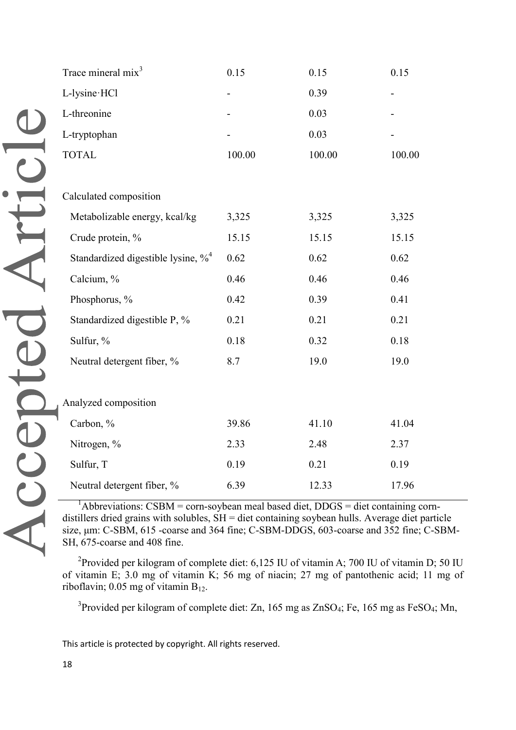| Trace mineral mix <sup>3</sup>         | 0.15   | 0.15   | 0.15   |
|----------------------------------------|--------|--------|--------|
| L-lysine HCl                           |        | 0.39   |        |
| L-threonine                            |        | 0.03   |        |
| L-tryptophan                           |        | 0.03   |        |
| <b>TOTAL</b>                           | 100.00 | 100.00 | 100.00 |
| Calculated composition                 |        |        |        |
| Metabolizable energy, kcal/kg          | 3,325  | 3,325  | 3,325  |
| Crude protein, %                       | 15.15  | 15.15  | 15.15  |
| Standardized digestible lysine, $\%^4$ | 0.62   | 0.62   | 0.62   |
| Calcium, %                             | 0.46   | 0.46   | 0.46   |
| Phosphorus, %                          | 0.42   | 0.39   | 0.41   |
| Standardized digestible P, %           | 0.21   | 0.21   | 0.21   |
| Sulfur, %                              | 0.18   | 0.32   | 0.18   |
| Neutral detergent fiber, %             | 8.7    | 19.0   | 19.0   |
| Analyzed composition                   |        |        |        |
| Carbon, %                              | 39.86  | 41.10  | 41.04  |
| Nitrogen, %                            | 2.33   | 2.48   | 2.37   |
| Sulfur, T                              | 0.19   | 0.21   | 0.19   |
| Neutral detergent fiber, %             | 6.39   | 12.33  | 17.96  |

 $1$ Abbreviations: CSBM = corn-soybean meal based diet, DDGS = diet containing corndistillers dried grains with solubles, SH = diet containing soybean hulls. Average diet particle size, μm: C-SBM, 615 -coarse and 364 fine; C-SBM-DDGS, 603-coarse and 352 fine; C-SBM-SH, 675-coarse and 408 fine.

<sup>2</sup> Provided per kilogram of complete diet: 6,125 IU of vitamin A; 700 IU of vitamin D; 50 IU of vitamin E; 3.0 mg of vitamin K; 56 mg of niacin; 27 mg of pantothenic acid; 11 mg of riboflavin; 0.05 mg of vitamin  $B_{12}$ .

<sup>3</sup>Provided per kilogram of complete diet: Zn, 165 mg as ZnSO<sub>4</sub>; Fe, 165 mg as FeSO<sub>4</sub>; Mn,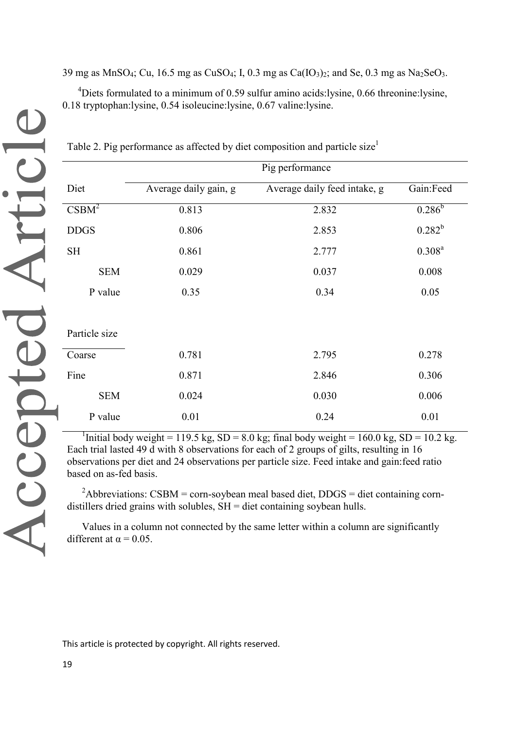39 mg as MnSO<sub>4</sub>; Cu, 16.5 mg as CuSO<sub>4</sub>; I, 0.3 mg as Ca(IO<sub>3</sub>)<sub>2</sub>; and Se, 0.3 mg as Na<sub>2</sub>SeO<sub>3</sub>.

 $4$ Diets formulated to a minimum of 0.59 sulfur amino acids:lysine, 0.66 threonine:lysine, 0.18 tryptophan:lysine, 0.54 isoleucine:lysine, 0.67 valine:lysine.

|                   |                       | Pig performance              |             |
|-------------------|-----------------------|------------------------------|-------------|
| Diet              | Average daily gain, g | Average daily feed intake, g | Gain:Feed   |
| CSBM <sup>2</sup> | 0.813                 | 2.832                        | $0.286^{b}$ |
| <b>DDGS</b>       | 0.806                 | 2.853                        | $0.282^{b}$ |
| <b>SH</b>         | 0.861                 | 2.777                        | $0.308^{a}$ |
| <b>SEM</b>        | 0.029                 | 0.037                        | 0.008       |
| P value           | 0.35                  | 0.34                         | 0.05        |
|                   |                       |                              |             |
| Particle size     |                       |                              |             |
| Coarse            | 0.781                 | 2.795                        | 0.278       |
| Fine              | 0.871                 | 2.846                        | 0.306       |
| <b>SEM</b>        | 0.024                 | 0.030                        | 0.006       |
| P value           | 0.01                  | 0.24                         | 0.01        |

Table 2. Pig performance as affected by diet composition and particle size<sup>1</sup>

<sup>1</sup>Initial body weight = 119.5 kg, SD = 8.0 kg; final body weight = 160.0 kg, SD = 10.2 kg. Each trial lasted 49 d with 8 observations for each of 2 groups of gilts, resulting in 16 observations per diet and 24 observations per particle size. Feed intake and gain:feed ratio based on as-fed basis.

 $2$ Abbreviations: CSBM = corn-soybean meal based diet, DDGS = diet containing corndistillers dried grains with solubles,  $SH =$  diet containing soybean hulls.

Values in a column not connected by the same letter within a column are significantly different at  $\alpha$  = 0.05.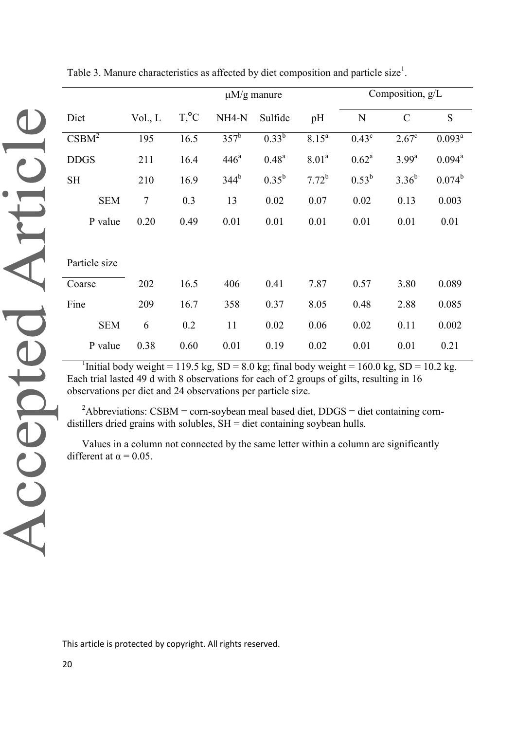|                   |                                   | $\mu$ M/g manure |                  |            |                   |                | Composition, g/L |                        |
|-------------------|-----------------------------------|------------------|------------------|------------|-------------------|----------------|------------------|------------------------|
| Diet              | Vol <sub>1</sub> , L <sub>2</sub> | $T, \n^{\circ}C$ | NH4-N            | Sulfide    | pH                | N              | $\mathcal{C}$    | S                      |
| CSBM <sup>2</sup> | 195                               | 16.5             | $357^b$          | $0.33^{b}$ | $8.15^{a}$        | $0.43^{\circ}$ | $2.67^{\circ}$   | $0.093^{\overline{a}}$ |
| <b>DDGS</b>       | 211                               | 16.4             | 446 <sup>a</sup> | $0.48^{a}$ | 8.01 <sup>a</sup> | $0.62^a$       | $3.99^{a}$       | $0.094^a$              |
| <b>SH</b>         | 210                               | 16.9             | 344 <sup>b</sup> | $0.35^{b}$ | $7.72^b$          | $0.53^b$       | $3.36^{b}$       | $0.074^b$              |
| <b>SEM</b>        | $\boldsymbol{7}$                  | 0.3              | 13               | 0.02       | 0.07              | 0.02           | 0.13             | 0.003                  |
| P value           | 0.20                              | 0.49             | 0.01             | 0.01       | 0.01              | 0.01           | 0.01             | 0.01                   |
| Particle size     |                                   |                  |                  |            |                   |                |                  |                        |
| Coarse            | 202                               | 16.5             | 406              | 0.41       | 7.87              | 0.57           | 3.80             | 0.089                  |
| Fine              | 209                               | 16.7             | 358              | 0.37       | 8.05              | 0.48           | 2.88             | 0.085                  |
| <b>SEM</b>        | 6                                 | 0.2              | 11               | 0.02       | 0.06              | 0.02           | 0.11             | 0.002                  |
| P value           | 0.38                              | 0.60             | 0.01             | 0.19       | 0.02              | 0.01           | 0.01             | 0.21                   |

Table 3. Manure characteristics as affected by diet composition and particle size<sup>1</sup>.

<sup>1</sup>Initial body weight = 119.5 kg, SD = 8.0 kg; final body weight = 160.0 kg, SD = 10.2 kg. Each trial lasted 49 d with 8 observations for each of 2 groups of gilts, resulting in 16 observations per diet and 24 observations per particle size.

<sup>2</sup>Abbreviations: CSBM = corn-soybean meal based diet, DDGS = diet containing corndistillers dried grains with solubles, SH = diet containing soybean hulls.

Values in a column not connected by the same letter within a column are significantly different at  $\alpha$  = 0.05.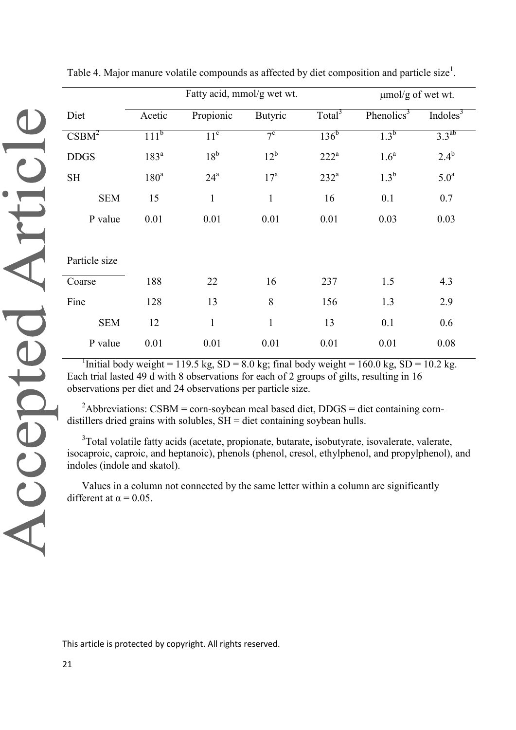|                   | Fatty acid, mmol/g wet wt. |                   |                 |                    | $\mu$ mol/g of wet wt. |                  |
|-------------------|----------------------------|-------------------|-----------------|--------------------|------------------------|------------------|
| Diet              | Acetic                     | Propionic         | <b>Butyric</b>  | Total <sup>3</sup> | Phenolics <sup>3</sup> | Indoles $3$      |
| CSBM <sup>2</sup> | 111 <sup>b</sup>           | 11 <sup>c</sup>   | $7^{\circ}$     | $136^b$            | 1.3 <sup>b</sup>       | $3.3^{ab}$       |
| <b>DDGS</b>       | 183 <sup>a</sup>           | $18^{\rm b}$      | $12^{\rm b}$    | $222^a$            | 1.6 <sup>a</sup>       | $2.4^{b}$        |
| <b>SH</b>         | 180 <sup>a</sup>           | $24^{\mathrm{a}}$ | 17 <sup>a</sup> | $232^a$            | $1.3^{b}$              | 5.0 <sup>a</sup> |
| <b>SEM</b>        | 15                         | $\mathbf{1}$      | $\mathbf{1}$    | 16                 | 0.1                    | 0.7              |
| P value           | 0.01                       | 0.01              | 0.01            | 0.01               | 0.03                   | 0.03             |
| Particle size     |                            |                   |                 |                    |                        |                  |
| Coarse            | 188                        | 22                | 16              | 237                | 1.5                    | 4.3              |
| Fine              | 128                        | 13                | 8               | 156                | 1.3                    | 2.9              |
| <b>SEM</b>        | 12                         | $\mathbf{1}$      | $\mathbf{1}$    | 13                 | 0.1                    | 0.6              |
| P value           | 0.01                       | 0.01              | 0.01            | 0.01               | 0.01                   | 0.08             |

Table 4. Major manure volatile compounds as affected by diet composition and particle size<sup>1</sup>.

<sup>1</sup>Initial body weight = 119.5 kg, SD = 8.0 kg; final body weight = 160.0 kg, SD = 10.2 kg. Each trial lasted 49 d with 8 observations for each of 2 groups of gilts, resulting in 16 observations per diet and 24 observations per particle size.

<sup>2</sup>Abbreviations: CSBM = corn-soybean meal based diet, DDGS = diet containing corndistillers dried grains with solubles, SH = diet containing soybean hulls.

<sup>3</sup>Total volatile fatty acids (acetate, propionate, butarate, isobutyrate, isovalerate, valerate, isocaproic, caproic, and heptanoic), phenols (phenol, cresol, ethylphenol, and propylphenol), and indoles (indole and skatol).

Values in a column not connected by the same letter within a column are significantly different at  $\alpha$  = 0.05.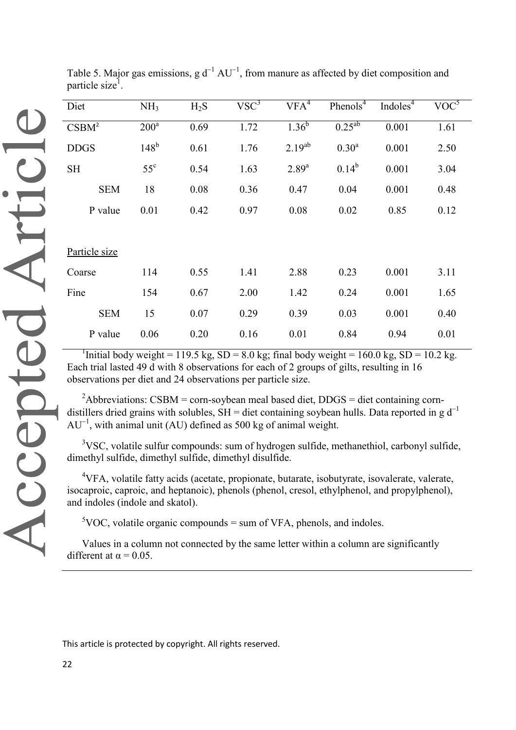| Diet              | NH <sub>3</sub>  | $H_2S$ | $VSC^3$ | VFA <sup>4</sup> | Phenols $4$       | Indoles $\mathbf{I}$ | VOC <sup>5</sup> |
|-------------------|------------------|--------|---------|------------------|-------------------|----------------------|------------------|
| CSBM <sup>2</sup> | $200^a$          | 0.69   | 1.72    | $1.36^{b}$       | $0.25^{ab}$       | 0.001                | 1.61             |
| <b>DDGS</b>       | 148 <sup>b</sup> | 0.61   | 1.76    | $2.19^{ab}$      | 0.30 <sup>a</sup> | 0.001                | 2.50             |
| <b>SH</b>         | $55^{\circ}$     | 0.54   | 1.63    | $2.89^{a}$       | $0.14^{b}$        | 0.001                | 3.04             |
| <b>SEM</b>        | 18               | 0.08   | 0.36    | 0.47             | 0.04              | 0.001                | 0.48             |
| P value           | 0.01             | 0.42   | 0.97    | 0.08             | 0.02              | 0.85                 | 0.12             |
|                   |                  |        |         |                  |                   |                      |                  |
| Particle size     |                  |        |         |                  |                   |                      |                  |
| Coarse            | 114              | 0.55   | 1.41    | 2.88             | 0.23              | 0.001                | 3.11             |
| Fine              | 154              | 0.67   | 2.00    | 1.42             | 0.24              | 0.001                | 1.65             |
| <b>SEM</b>        | 15               | 0.07   | 0.29    | 0.39             | 0.03              | 0.001                | 0.40             |
| P value           | 0.06             | 0.20   | 0.16    | 0.01             | 0.84              | 0.94                 | 0.01             |

Table 5. Major gas emissions, g  $d^{-1}$  AU<sup>-1</sup>, from manure as affected by diet composition and particle size<sup>1</sup>.

<sup>1</sup>Initial body weight = 119.5 kg, SD = 8.0 kg; final body weight = 160.0 kg, SD = 10.2 kg. Each trial lasted 49 d with 8 observations for each of 2 groups of gilts, resulting in 16 observations per diet and 24 observations per particle size.

<sup>2</sup>Abbreviations: CSBM = corn-soybean meal based diet, DDGS = diet containing corndistillers dried grains with solubles, SH = diet containing sovbean hulls. Data reported in g  $d^{-1}$  $AU^{-1}$ , with animal unit (AU) defined as 500 kg of animal weight.

<sup>3</sup>VSC, volatile sulfur compounds: sum of hydrogen sulfide, methanethiol, carbonyl sulfide, dimethyl sulfide, dimethyl sulfide, dimethyl disulfide.

<sup>4</sup>VFA, volatile fatty acids (acetate, propionate, butarate, isobutyrate, isovalerate, valerate, isocaproic, caproic, and heptanoic), phenols (phenol, cresol, ethylphenol, and propylphenol), and indoles (indole and skatol).

 $5VOC$ , volatile organic compounds = sum of VFA, phenols, and indoles.

Values in a column not connected by the same letter within a column are significantly different at  $\alpha$  = 0.05.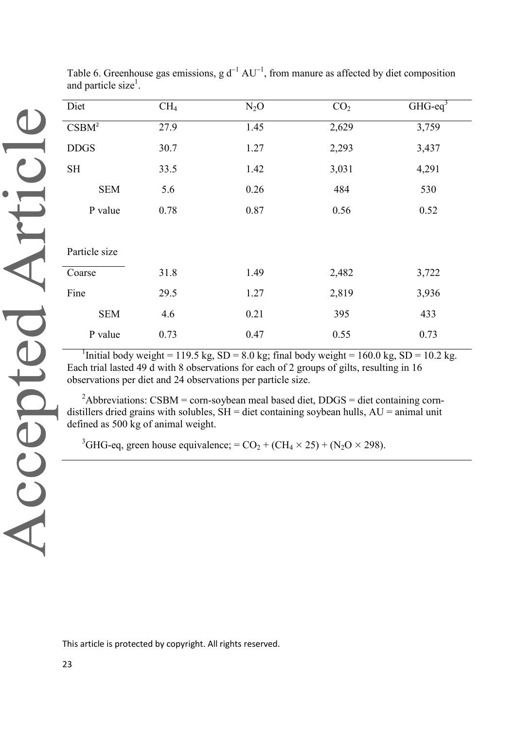| Diet              | CH <sub>4</sub> | $N_2O$ | CO <sub>2</sub> | $GHG-eq^3$ |
|-------------------|-----------------|--------|-----------------|------------|
| CSBM <sup>2</sup> | 27.9            | 1.45   | 2,629           | 3,759      |
| <b>DDGS</b>       | 30.7            | 1.27   | 2,293           | 3,437      |
| SH                | 33.5            | 1.42   | 3,031           | 4,291      |
| <b>SEM</b>        | 5.6             | 0.26   | 484             | 530        |
| P value           | 0.78            | 0.87   | 0.56            | 0.52       |
|                   |                 |        |                 |            |
| Particle size     |                 |        |                 |            |
| Coarse            | 31.8            | 1.49   | 2,482           | 3,722      |
| Fine              | 29.5            | 1.27   | 2,819           | 3,936      |
| <b>SEM</b>        | 4.6             | 0.21   | 395             | 433        |
| P value           | 0.73            | 0.47   | 0.55            | 0.73       |

Table 6. Greenhouse gas emissions,  $g d^{-1} AU^{-1}$ , from manure as affected by diet composition and particle size<sup>1</sup>.

<sup>1</sup>Initial body weight = 119.5 kg, SD = 8.0 kg; final body weight = 160.0 kg, SD = 10.2 kg. Each trial lasted 49 d with 8 observations for each of 2 groups of gilts, resulting in 16 observations per diet and 24 observations per particle size.

 $^{2}$ Abbreviations: CSBM = corn-soybean meal based diet, DDGS = diet containing corndistillers dried grains with solubles,  $SH =$  diet containing soybean hulls,  $AU =$  animal unit defined as 500 kg of animal weight.

<sup>3</sup>GHG-eq, green house equivalence; =  $CO_2 + (CH_4 \times 25) + (N_2O \times 298)$ .

Accepted Article